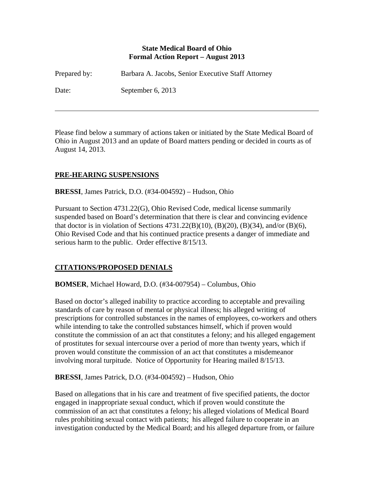### **State Medical Board of Ohio Formal Action Report – August 2013**

| Prepared by: | Barbara A. Jacobs, Senior Executive Staff Attorney |
|--------------|----------------------------------------------------|
| Date:        | September 6, 2013                                  |

Please find below a summary of actions taken or initiated by the State Medical Board of Ohio in August 2013 and an update of Board matters pending or decided in courts as of August 14, 2013.

# **PRE-HEARING SUSPENSIONS**

 $\overline{a}$ 

**BRESSI**, James Patrick, D.O. (#34-004592) – Hudson, Ohio

Pursuant to Section 4731.22(G), Ohio Revised Code, medical license summarily suspended based on Board's determination that there is clear and convincing evidence that doctor is in violation of Sections  $4731.22(B)(10)$ ,  $(B)(20)$ ,  $(B)(34)$ , and/or  $(B)(6)$ , Ohio Revised Code and that his continued practice presents a danger of immediate and serious harm to the public. Order effective 8/15/13.

## **CITATIONS/PROPOSED DENIALS**

**BOMSER**, Michael Howard, D.O. (#34-007954) – Columbus, Ohio

Based on doctor's alleged inability to practice according to acceptable and prevailing standards of care by reason of mental or physical illness; his alleged writing of prescriptions for controlled substances in the names of employees, co-workers and others while intending to take the controlled substances himself, which if proven would constitute the commission of an act that constitutes a felony; and his alleged engagement of prostitutes for sexual intercourse over a period of more than twenty years, which if proven would constitute the commission of an act that constitutes a misdemeanor involving moral turpitude. Notice of Opportunity for Hearing mailed 8/15/13.

**BRESSI**, James Patrick, D.O. (#34-004592) – Hudson, Ohio

Based on allegations that in his care and treatment of five specified patients, the doctor engaged in inappropriate sexual conduct, which if proven would constitute the commission of an act that constitutes a felony; his alleged violations of Medical Board rules prohibiting sexual contact with patients; his alleged failure to cooperate in an investigation conducted by the Medical Board; and his alleged departure from, or failure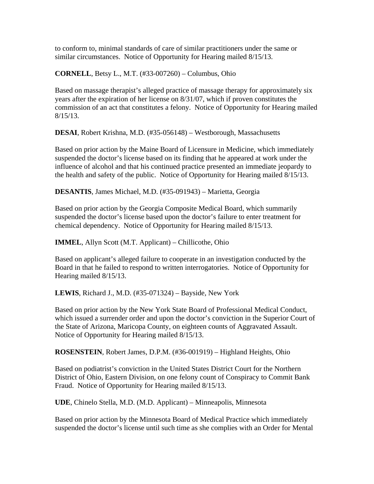to conform to, minimal standards of care of similar practitioners under the same or similar circumstances. Notice of Opportunity for Hearing mailed 8/15/13.

**CORNELL**, Betsy L., M.T. (#33-007260) – Columbus, Ohio

Based on massage therapist's alleged practice of massage therapy for approximately six years after the expiration of her license on 8/31/07, which if proven constitutes the commission of an act that constitutes a felony. Notice of Opportunity for Hearing mailed 8/15/13.

**DESAI**, Robert Krishna, M.D. (#35-056148) – Westborough, Massachusetts

Based on prior action by the Maine Board of Licensure in Medicine, which immediately suspended the doctor's license based on its finding that he appeared at work under the influence of alcohol and that his continued practice presented an immediate jeopardy to the health and safety of the public. Notice of Opportunity for Hearing mailed 8/15/13.

**DESANTIS**, James Michael, M.D. (#35-091943) – Marietta, Georgia

Based on prior action by the Georgia Composite Medical Board, which summarily suspended the doctor's license based upon the doctor's failure to enter treatment for chemical dependency. Notice of Opportunity for Hearing mailed 8/15/13.

**IMMEL**, Allyn Scott (M.T. Applicant) – Chillicothe, Ohio

Based on applicant's alleged failure to cooperate in an investigation conducted by the Board in that he failed to respond to written interrogatories. Notice of Opportunity for Hearing mailed 8/15/13.

**LEWIS**, Richard J., M.D. (#35-071324) – Bayside, New York

Based on prior action by the New York State Board of Professional Medical Conduct, which issued a surrender order and upon the doctor's conviction in the Superior Court of the State of Arizona, Maricopa County, on eighteen counts of Aggravated Assault. Notice of Opportunity for Hearing mailed 8/15/13.

**ROSENSTEIN**, Robert James, D.P.M. (#36-001919) – Highland Heights, Ohio

Based on podiatrist's conviction in the United States District Court for the Northern District of Ohio, Eastern Division, on one felony count of Conspiracy to Commit Bank Fraud. Notice of Opportunity for Hearing mailed 8/15/13.

**UDE**, Chinelo Stella, M.D. (M.D. Applicant) – Minneapolis, Minnesota

Based on prior action by the Minnesota Board of Medical Practice which immediately suspended the doctor's license until such time as she complies with an Order for Mental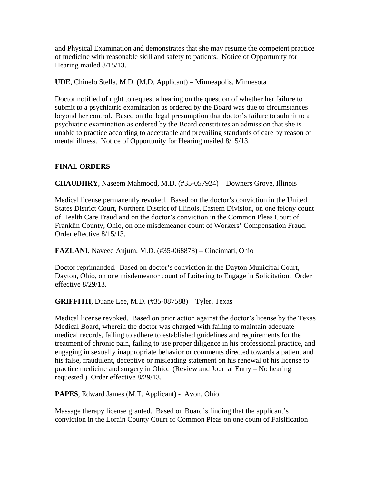and Physical Examination and demonstrates that she may resume the competent practice of medicine with reasonable skill and safety to patients. Notice of Opportunity for Hearing mailed 8/15/13.

**UDE**, Chinelo Stella, M.D. (M.D. Applicant) – Minneapolis, Minnesota

Doctor notified of right to request a hearing on the question of whether her failure to submit to a psychiatric examination as ordered by the Board was due to circumstances beyond her control. Based on the legal presumption that doctor's failure to submit to a psychiatric examination as ordered by the Board constitutes an admission that she is unable to practice according to acceptable and prevailing standards of care by reason of mental illness. Notice of Opportunity for Hearing mailed 8/15/13.

# **FINAL ORDERS**

**CHAUDHRY**, Naseem Mahmood, M.D. (#35-057924) – Downers Grove, Illinois

Medical license permanently revoked. Based on the doctor's conviction in the United States District Court, Northern District of Illinois, Eastern Division, on one felony count of Health Care Fraud and on the doctor's conviction in the Common Pleas Court of Franklin County, Ohio, on one misdemeanor count of Workers' Compensation Fraud. Order effective 8/15/13.

**FAZLANI**, Naveed Anjum, M.D. (#35-068878) – Cincinnati, Ohio

Doctor reprimanded. Based on doctor's conviction in the Dayton Municipal Court, Dayton, Ohio, on one misdemeanor count of Loitering to Engage in Solicitation. Order effective 8/29/13.

**GRIFFITH**, Duane Lee, M.D. (#35-087588) – Tyler, Texas

Medical license revoked. Based on prior action against the doctor's license by the Texas Medical Board, wherein the doctor was charged with failing to maintain adequate medical records, failing to adhere to established guidelines and requirements for the treatment of chronic pain, failing to use proper diligence in his professional practice, and engaging in sexually inappropriate behavior or comments directed towards a patient and his false, fraudulent, deceptive or misleading statement on his renewal of his license to practice medicine and surgery in Ohio. (Review and Journal Entry – No hearing requested.) Order effective 8/29/13.

**PAPES**, Edward James (M.T. Applicant) - Avon, Ohio

Massage therapy license granted. Based on Board's finding that the applicant's conviction in the Lorain County Court of Common Pleas on one count of Falsification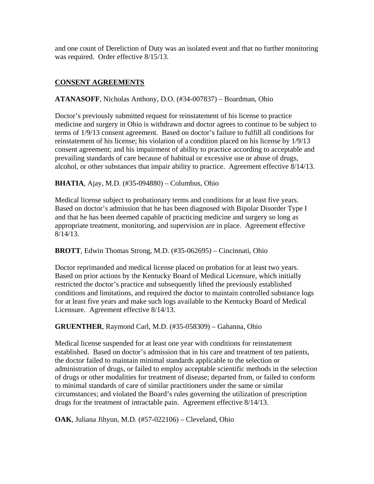and one count of Dereliction of Duty was an isolated event and that no further monitoring was required. Order effective 8/15/13.

# **CONSENT AGREEMENTS**

**ATANASOFF**, Nicholas Anthony, D.O. (#34-007837) – Boardman, Ohio

Doctor's previously submitted request for reinstatement of his license to practice medicine and surgery in Ohio is withdrawn and doctor agrees to continue to be subject to terms of 1/9/13 consent agreement. Based on doctor's failure to fulfill all conditions for reinstatement of his license; his violation of a condition placed on his license by 1/9/13 consent agreement; and his impairment of ability to practice according to acceptable and prevailing standards of care because of habitual or excessive use or abuse of drugs, alcohol, or other substances that impair ability to practice. Agreement effective 8/14/13.

**BHATIA**, Ajay, M.D. (#35-094880) – Columbus, Ohio

Medical license subject to probationary terms and conditions for at least five years. Based on doctor's admission that he has been diagnosed with Bipolar Disorder Type I and that he has been deemed capable of practicing medicine and surgery so long as appropriate treatment, monitoring, and supervision are in place. Agreement effective 8/14/13.

**BROTT**, Edwin Thomas Strong, M.D. (#35-062695) – Cincinnati, Ohio

Doctor reprimanded and medical license placed on probation for at least two years. Based on prior actions by the Kentucky Board of Medical Licensure, which initially restricted the doctor's practice and subsequently lifted the previously established conditions and limitations, and required the doctor to maintain controlled substance logs for at least five years and make such logs available to the Kentucky Board of Medical Licensure. Agreement effective 8/14/13.

**GRUENTHER**, Raymond Carl, M.D. (#35-058309) – Gahanna, Ohio

Medical license suspended for at least one year with conditions for reinstatement established. Based on doctor's admission that in his care and treatment of ten patients, the doctor failed to maintain minimal standards applicable to the selection or administration of drugs, or failed to employ acceptable scientific methods in the selection of drugs or other modalities for treatment of disease; departed from, or failed to conform to minimal standards of care of similar practitioners under the same or similar circumstances; and violated the Board's rules governing the utilization of prescription drugs for the treatment of intractable pain. Agreement effective 8/14/13.

**OAK**, Juliana Jihyun, M.D. (#57-022106) – Cleveland, Ohio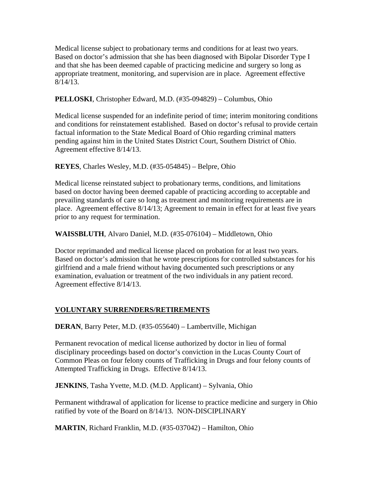Medical license subject to probationary terms and conditions for at least two years. Based on doctor's admission that she has been diagnosed with Bipolar Disorder Type I and that she has been deemed capable of practicing medicine and surgery so long as appropriate treatment, monitoring, and supervision are in place. Agreement effective 8/14/13.

### **PELLOSKI**, Christopher Edward, M.D. (#35-094829) – Columbus, Ohio

Medical license suspended for an indefinite period of time; interim monitoring conditions and conditions for reinstatement established. Based on doctor's refusal to provide certain factual information to the State Medical Board of Ohio regarding criminal matters pending against him in the United States District Court, Southern District of Ohio. Agreement effective 8/14/13.

#### **REYES**, Charles Wesley, M.D. (#35-054845) – Belpre, Ohio

Medical license reinstated subject to probationary terms, conditions, and limitations based on doctor having been deemed capable of practicing according to acceptable and prevailing standards of care so long as treatment and monitoring requirements are in place. Agreement effective 8/14/13; Agreement to remain in effect for at least five years prior to any request for termination.

**WAISSBLUTH**, Alvaro Daniel, M.D. (#35-076104) – Middletown, Ohio

Doctor reprimanded and medical license placed on probation for at least two years. Based on doctor's admission that he wrote prescriptions for controlled substances for his girlfriend and a male friend without having documented such prescriptions or any examination, evaluation or treatment of the two individuals in any patient record. Agreement effective 8/14/13.

## **VOLUNTARY SURRENDERS/RETIREMENTS**

**DERAN**, Barry Peter, M.D. (#35-055640) – Lambertville, Michigan

Permanent revocation of medical license authorized by doctor in lieu of formal disciplinary proceedings based on doctor's conviction in the Lucas County Court of Common Pleas on four felony counts of Trafficking in Drugs and four felony counts of Attempted Trafficking in Drugs. Effective 8/14/13.

**JENKINS**, Tasha Yvette, M.D. (M.D. Applicant) – Sylvania, Ohio

Permanent withdrawal of application for license to practice medicine and surgery in Ohio ratified by vote of the Board on 8/14/13. NON-DISCIPLINARY

**MARTIN**, Richard Franklin, M.D. (#35-037042) – Hamilton, Ohio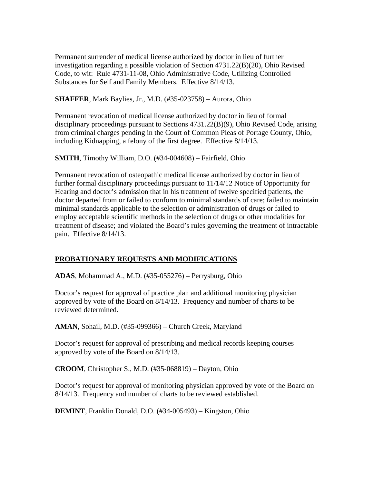Permanent surrender of medical license authorized by doctor in lieu of further investigation regarding a possible violation of Section 4731.22(B)(20), Ohio Revised Code, to wit: Rule 4731-11-08, Ohio Administrative Code, Utilizing Controlled Substances for Self and Family Members. Effective 8/14/13.

**SHAFFER**, Mark Baylies, Jr., M.D. (#35-023758) – Aurora, Ohio

Permanent revocation of medical license authorized by doctor in lieu of formal disciplinary proceedings pursuant to Sections 4731.22(B)(9), Ohio Revised Code, arising from criminal charges pending in the Court of Common Pleas of Portage County, Ohio, including Kidnapping, a felony of the first degree. Effective 8/14/13.

**SMITH**, Timothy William, D.O. (#34-004608) – Fairfield, Ohio

Permanent revocation of osteopathic medical license authorized by doctor in lieu of further formal disciplinary proceedings pursuant to 11/14/12 Notice of Opportunity for Hearing and doctor's admission that in his treatment of twelve specified patients, the doctor departed from or failed to conform to minimal standards of care; failed to maintain minimal standards applicable to the selection or administration of drugs or failed to employ acceptable scientific methods in the selection of drugs or other modalities for treatment of disease; and violated the Board's rules governing the treatment of intractable pain. Effective 8/14/13.

## **PROBATIONARY REQUESTS AND MODIFICATIONS**

**ADAS**, Mohammad A., M.D. (#35-055276) – Perrysburg, Ohio

Doctor's request for approval of practice plan and additional monitoring physician approved by vote of the Board on 8/14/13. Frequency and number of charts to be reviewed determined.

**AMAN**, Sohail, M.D. (#35-099366) – Church Creek, Maryland

Doctor's request for approval of prescribing and medical records keeping courses approved by vote of the Board on 8/14/13.

**CROOM**, Christopher S., M.D. (#35-068819) – Dayton, Ohio

Doctor's request for approval of monitoring physician approved by vote of the Board on 8/14/13. Frequency and number of charts to be reviewed established.

**DEMINT**, Franklin Donald, D.O. (#34-005493) – Kingston, Ohio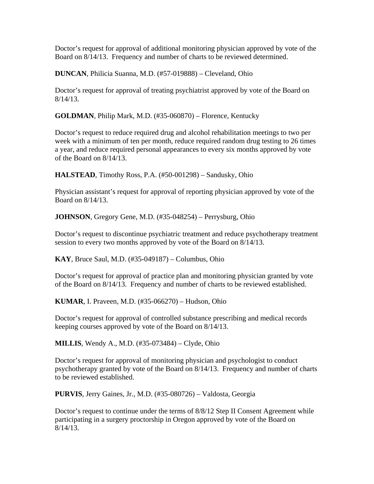Doctor's request for approval of additional monitoring physician approved by vote of the Board on 8/14/13. Frequency and number of charts to be reviewed determined.

**DUNCAN**, Philicia Suanna, M.D. (#57-019888) – Cleveland, Ohio

Doctor's request for approval of treating psychiatrist approved by vote of the Board on 8/14/13.

**GOLDMAN**, Philip Mark, M.D. (#35-060870) – Florence, Kentucky

Doctor's request to reduce required drug and alcohol rehabilitation meetings to two per week with a minimum of ten per month, reduce required random drug testing to 26 times a year, and reduce required personal appearances to every six months approved by vote of the Board on 8/14/13.

**HALSTEAD**, Timothy Ross, P.A. (#50-001298) – Sandusky, Ohio

Physician assistant's request for approval of reporting physician approved by vote of the Board on 8/14/13.

**JOHNSON**, Gregory Gene, M.D. (#35-048254) – Perrysburg, Ohio

Doctor's request to discontinue psychiatric treatment and reduce psychotherapy treatment session to every two months approved by vote of the Board on 8/14/13.

**KAY**, Bruce Saul, M.D. (#35-049187) – Columbus, Ohio

Doctor's request for approval of practice plan and monitoring physician granted by vote of the Board on 8/14/13. Frequency and number of charts to be reviewed established.

**KUMAR**, I. Praveen, M.D. (#35-066270) – Hudson, Ohio

Doctor's request for approval of controlled substance prescribing and medical records keeping courses approved by vote of the Board on 8/14/13.

**MILLIS**, Wendy A., M.D. (#35-073484) – Clyde, Ohio

Doctor's request for approval of monitoring physician and psychologist to conduct psychotherapy granted by vote of the Board on 8/14/13. Frequency and number of charts to be reviewed established.

**PURVIS**, Jerry Gaines, Jr., M.D. (#35-080726) – Valdosta, Georgia

Doctor's request to continue under the terms of 8/8/12 Step II Consent Agreement while participating in a surgery proctorship in Oregon approved by vote of the Board on 8/14/13.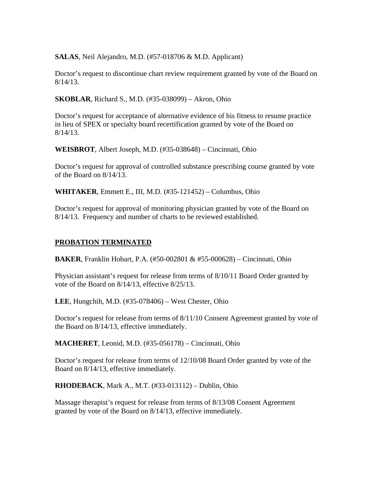**SALAS**, Neil Alejandro, M.D. (#57-018706 & M.D. Applicant)

Doctor's request to discontinue chart review requirement granted by vote of the Board on 8/14/13.

**SKOBLAR**, Richard S., M.D. (#35-038099) – Akron, Ohio

Doctor's request for acceptance of alternative evidence of his fitness to resume practice in lieu of SPEX or specialty board recertification granted by vote of the Board on 8/14/13.

**WEISBROT**, Albert Joseph, M.D. (#35-038648) – Cincinnati, Ohio

Doctor's request for approval of controlled substance prescribing course granted by vote of the Board on 8/14/13.

**WHITAKER**, Emmett E., III, M.D. (#35-121452) – Columbus, Ohio

Doctor's request for approval of monitoring physician granted by vote of the Board on 8/14/13. Frequency and number of charts to be reviewed established.

# **PROBATION TERMINATED**

**BAKER**, Franklin Hobart, P.A. (#50-002801 & #55-000628) – Cincinnati, Ohio

Physician assistant's request for release from terms of 8/10/11 Board Order granted by vote of the Board on 8/14/13, effective 8/25/13.

**LEE**, Hungchih, M.D. (#35-078406) – West Chester, Ohio

Doctor's request for release from terms of 8/11/10 Consent Agreement granted by vote of the Board on 8/14/13, effective immediately.

**MACHERET**, Leonid, M.D. (#35-056178) – Cincinnati, Ohio

Doctor's request for release from terms of 12/10/08 Board Order granted by vote of the Board on 8/14/13, effective immediately.

**RHODEBACK**, Mark A., M.T. (#33-013112) – Dublin, Ohio

Massage therapist's request for release from terms of 8/13/08 Consent Agreement granted by vote of the Board on 8/14/13, effective immediately.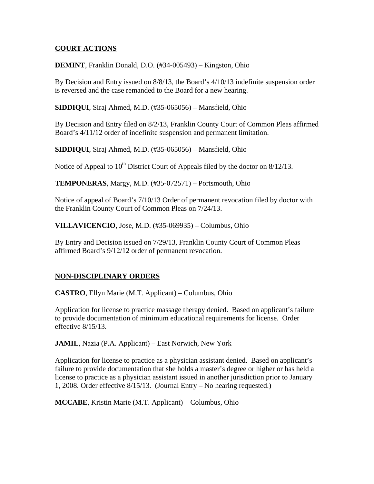### **COURT ACTIONS**

**DEMINT**, Franklin Donald, D.O. (#34-005493) – Kingston, Ohio

By Decision and Entry issued on 8/8/13, the Board's 4/10/13 indefinite suspension order is reversed and the case remanded to the Board for a new hearing.

**SIDDIQUI**, Siraj Ahmed, M.D. (#35-065056) – Mansfield, Ohio

By Decision and Entry filed on 8/2/13, Franklin County Court of Common Pleas affirmed Board's 4/11/12 order of indefinite suspension and permanent limitation.

**SIDDIQUI**, Siraj Ahmed, M.D. (#35-065056) – Mansfield, Ohio

Notice of Appeal to  $10^{th}$  District Court of Appeals filed by the doctor on  $8/12/13$ .

**TEMPONERAS**, Margy, M.D. (#35-072571) – Portsmouth, Ohio

Notice of appeal of Board's 7/10/13 Order of permanent revocation filed by doctor with the Franklin County Court of Common Pleas on 7/24/13.

**VILLAVICENCIO**, Jose, M.D. (#35-069935) – Columbus, Ohio

By Entry and Decision issued on 7/29/13, Franklin County Court of Common Pleas affirmed Board's 9/12/12 order of permanent revocation.

## **NON-DISCIPLINARY ORDERS**

**CASTRO**, Ellyn Marie (M.T. Applicant) – Columbus, Ohio

Application for license to practice massage therapy denied. Based on applicant's failure to provide documentation of minimum educational requirements for license. Order effective 8/15/13.

**JAMIL**, Nazia (P.A. Applicant) – East Norwich, New York

Application for license to practice as a physician assistant denied. Based on applicant's failure to provide documentation that she holds a master's degree or higher or has held a license to practice as a physician assistant issued in another jurisdiction prior to January 1, 2008. Order effective 8/15/13. (Journal Entry – No hearing requested.)

**MCCABE**, Kristin Marie (M.T. Applicant) – Columbus, Ohio